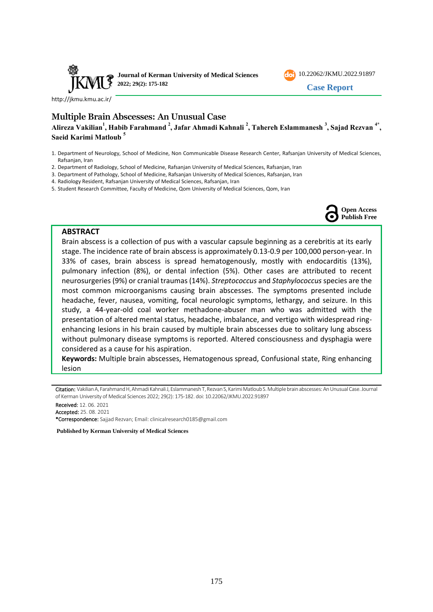



**Case Report**

<http://jkmu.kmu.ac.ir/>

# **Multiple Brain Abscesses: An Unusual Case**

Alireza Vakilian<sup>1</sup>, Habib Farahmand <sup>2</sup>, Jafar Ahmadi Kahnali <sup>2</sup>, Tahereh Eslammanesh <sup>3</sup>, Sajad Rezvan <sup>4\*</sup>, **Saeid Karimi Matloub <sup>5</sup>**

- 1. Department of Neurology, School of Medicine, Non Communicable Disease Research Center, Rafsanjan University of Medical Sciences, Rafsanjan, Iran
- 2. Department of Radiology, School of Medicine, Rafsanjan University of Medical Sciences, Rafsanjan, Iran
- 3. Department of Pathology, School of Medicine, Rafsanjan University of Medical Sciences, Rafsanjan, Iran
- 4. Radiology Resident, Rafsanjan University of Medical Sciences, Rafsanjan, Iran
- 5. Student Research Committee, Faculty of Medicine, Qom University of Medical Sciences, Qom, Iran



#### **ABSTRACT**

Brain abscess is a collection of pus with a vascular capsule beginning as a cerebritis at its early stage. The incidence rate of brain abscess is approximately 0.13-0.9 per 100,000 person-year. In 33% of cases, brain abscess is spread hematogenously, mostly with endocarditis (13%), pulmonary infection (8%), or dental infection (5%). Other cases are attributed to recent neurosurgeries (9%) or cranial traumas (14%). *Streptococcus* and *Staphylococcus* species are the most common microorganisms causing brain abscesses. The symptoms presented include headache, fever, nausea, vomiting, focal neurologic symptoms, lethargy, and seizure. In this study, a 44-year-old coal worker methadone-abuser man who was admitted with the presentation of altered mental status, headache, imbalance, and vertigo with widespread ringenhancing lesions in his brain caused by multiple brain abscesses due to solitary lung abscess without pulmonary disease symptoms is reported. Altered consciousness and dysphagia were considered as a cause for his aspiration.

**Keywords:** Multiple brain abscesses, Hematogenous spread, Confusional state, Ring enhancing lesion

Citation: Vakilian A, Farahmand H, Ahmadi Kahnali J, Eslammanesh T, Rezvan S, Karimi Matloub S. Multiple brain abscesses: An Unusual Case. Journal of Kerman University of Medical Sciences 2022; 29(2): 175-182. doi: [10.22062/JKMU.2022.91897](https://dx.doi.org/10.22062/jkmu.2022.91897)

Received: 12. 06. 2021 Accepted: 25. 08. 2021 \*Correspondence: Sajjad Rezvan; Email: [clinicalresearch0185@gmail.com](mailto:clinicalresearch0185@gmail.com) 

**Published by Kerman University of Medical Sciences**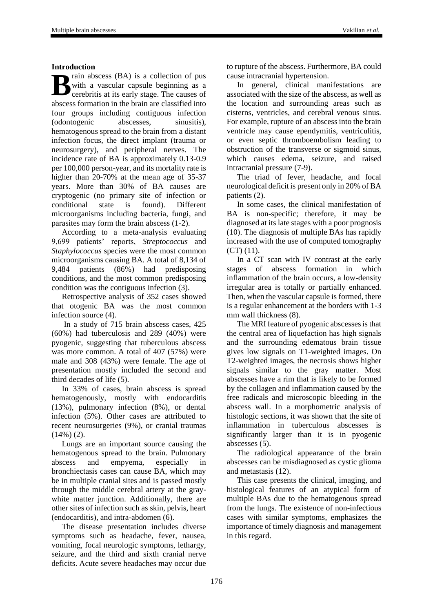## **Introduction**

rain abscess (BA) is a collection of pus with a vascular capsule beginning as a cerebritis at its early stage. The causes of abscess formation in the brain are classified into four groups including contiguous infection (odontogenic abscesses, sinusitis), hematogenous spread to the brain from a distant infection focus, the direct implant (trauma or neurosurgery), and peripheral nerves. The incidence rate of BA is approximately 0.13-0.9 per 100,000 person-year, and its mortality rate is higher than 20-70% at the mean age of 35-37 years. More than 30% of BA causes are cryptogenic (no primary site of infection or conditional state is found). Different microorganisms including bacteria, fungi, and parasites may form the brain abscess (1-2). **B**

According to a meta-analysis evaluating 9,699 patients' reports, *Streptococcus* and *Staphylococcus* species were the most common microorganisms causing BA. A total of 8,134 of 9,484 patients (86%) had predisposing conditions, and the most common predisposing condition was the contiguous infection (3).

Retrospective analysis of 352 cases showed that otogenic BA was the most common infection source (4).

In a study of 715 brain abscess cases, 425 (60%) had tuberculosis and 289 (40%) were pyogenic, suggesting that tuberculous abscess was more common. A total of 407 (57%) were male and 308 (43%) were female. The age of presentation mostly included the second and third decades of life (5).

In 33% of cases, brain abscess is spread hematogenously, mostly with endocarditis (13%), pulmonary infection (8%), or dental infection (5%). Other cases are attributed to recent neurosurgeries (9%), or cranial traumas  $(14\%) (2)$ .

Lungs are an important source causing the hematogenous spread to the brain. Pulmonary abscess and empyema, especially in bronchiectasis cases can cause BA, which may be in multiple cranial sites and is passed mostly through the middle cerebral artery at the graywhite matter junction. Additionally, there are other sites of infection such as skin, pelvis, heart (endocarditis), and intra-abdomen (6).

The disease presentation includes diverse symptoms such as headache, fever, nausea, vomiting, focal neurologic symptoms, lethargy, seizure, and the third and sixth cranial nerve deficits. Acute severe headaches may occur due

to rupture of the abscess. Furthermore, BA could cause intracranial hypertension.

In general, clinical manifestations are associated with the size of the abscess, as well as the location and surrounding areas such as cisterns, ventricles, and cerebral venous sinus. For example, rupture of an abscess into the brain ventricle may cause ependymitis, ventriculitis, or even septic thromboembolism leading to obstruction of the transverse or sigmoid sinus, which causes edema, seizure, and raised intracranial pressure (7-9).

The triad of fever, headache, and focal neurological deficit is present only in 20% of BA patients (2).

In some cases, the clinical manifestation of BA is non-specific; therefore, it may be diagnosed at its late stages with a poor prognosis (10). The diagnosis of multiple BAs has rapidly increased with the use of computed tomography  $(CT)$  (11).

In a CT scan with IV contrast at the early stages of abscess formation in which inflammation of the brain occurs, a low-density irregular area is totally or partially enhanced. Then, when the vascular capsule is formed, there is a regular enhancement at the borders with 1-3 mm wall thickness (8).

The MRI feature of pyogenic abscesses is that the central area of liquefaction has high signals and the surrounding edematous brain tissue gives low signals on T1-weighted images. On T2-weighted images, the necrosis shows higher signals similar to the gray matter. Most abscesses have a rim that is likely to be formed by the collagen and inflammation caused by the free radicals and microscopic bleeding in the abscess wall. In a morphometric analysis of histologic sections, it was shown that the site of inflammation in tuberculous abscesses is significantly larger than it is in pyogenic abscesses (5).

The radiological appearance of the brain abscesses can be misdiagnosed as cystic glioma and metastasis (12).

This case presents the clinical, imaging, and histological features of an atypical form of multiple BAs due to the hematogenous spread from the lungs. The existence of non-infectious cases with similar symptoms, emphasizes the importance of timely diagnosis and management in this regard.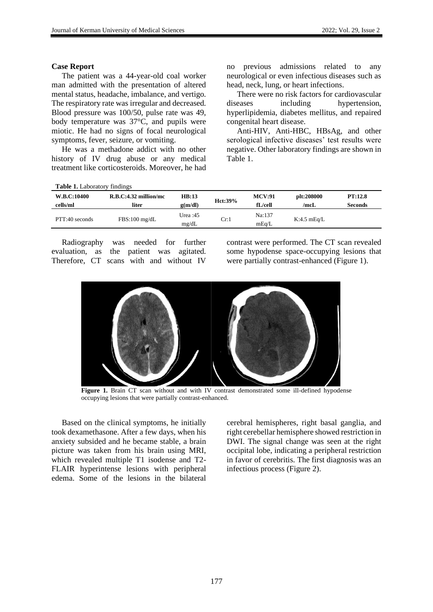#### **Case Report**

The patient was a 44-year-old coal worker man admitted with the presentation of altered mental status, headache, imbalance, and vertigo. The respiratory rate was irregular and decreased. Blood pressure was 100/50, pulse rate was 49, body temperature was 37°C, and pupils were miotic. He had no signs of focal neurological symptoms, fever, seizure, or vomiting.

He was a methadone addict with no other history of IV drug abuse or any medical treatment like corticosteroids. Moreover, he had

**Table 1.** Laboratory findings

no previous admissions related to any neurological or even infectious diseases such as head, neck, lung, or heart infections.

There were no risk factors for cardiovascular diseases including hypertension, hyperlipidemia, diabetes mellitus, and repaired congenital heart disease.

Anti-HIV, Anti-HBC, HBsAg, and other serological infective diseases' test results were negative. Other laboratory findings are shown in Table 1.

| <b>Table 1.</b> Laboratory immigs |                       |                     |         |                 |               |                |
|-----------------------------------|-----------------------|---------------------|---------|-----------------|---------------|----------------|
| W.B.C:10400                       | R.B.C:4.32 million/mc | HB:13               | Hct:39% | <b>MCV:91</b>   | plt:208000    | PT:12.8        |
| cells/ml                          | liter                 | g(m/dl)             |         | fL/cell         | /mcL          | <b>Seconds</b> |
| PTT:40 seconds                    | $FBS:100$ mg/dL       | Urea $:45$<br>mg/dL | Cr:1    | Na:137<br>mEq/L | $K:4.5$ mEq/L |                |

Radiography was needed for further evaluation, as the patient was agitated. Therefore, CT scans with and without IV

contrast were performed. The CT scan revealed some hypodense space-occupying lesions that were partially contrast-enhanced (Figure 1).



Figure 1. Brain CT scan without and with IV contrast demonstrated some ill-defined hypodense occupying lesions that were partially contrast-enhanced.

Based on the clinical symptoms, he initially took dexamethasone. After a few days, when his anxiety subsided and he became stable, a brain picture was taken from his brain using MRI, which revealed multiple T1 isodense and T2- FLAIR hyperintense lesions with peripheral edema. Some of the lesions in the bilateral cerebral hemispheres, right basal ganglia, and right cerebellar hemisphere showed restriction in DWI. The signal change was seen at the right occipital lobe, indicating a peripheral restriction in favor of cerebritis. The first diagnosis was an infectious process (Figure 2).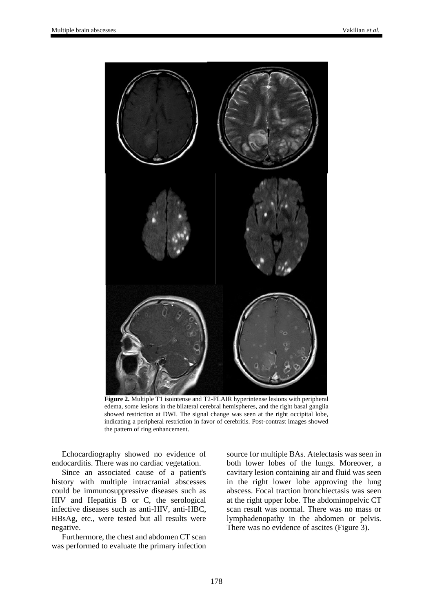

**Figure 2.** Multiple T1 isointense and T2-FLAIR hyperintense lesions with peripheral edema, some lesions in the bilateral cerebral hemispheres, and the right basal ganglia showed restriction at DWI. The signal change was seen at the right occipital lobe, indicating a peripheral restriction in favor of cerebritis. Post-contrast images showed the pattern of ring enhancement.

Echocardiography showed no evidence of endocarditis. There was no cardiac vegetation.

Since an associated cause of a patient's history with multiple intracranial abscesses could be immunosuppressive diseases such as HIV and Hepatitis B or C, the serological infective diseases such as anti-HIV, anti-HBC, HBsAg, etc., were tested but all results were negative.

Furthermore, the chest and abdomen CT scan was performed to evaluate the primary infection source for multiple BAs. Atelectasis was seen in both lower lobes of the lungs. Moreover, a cavitary lesion containing air and fluid was seen in the right lower lobe approving the lung abscess. Focal traction bronchiectasis was seen at the right upper lobe. The abdominopelvic CT scan result was normal. There was no mass or lymphadenopathy in the abdomen or pelvis. There was no evidence of ascites (Figure 3).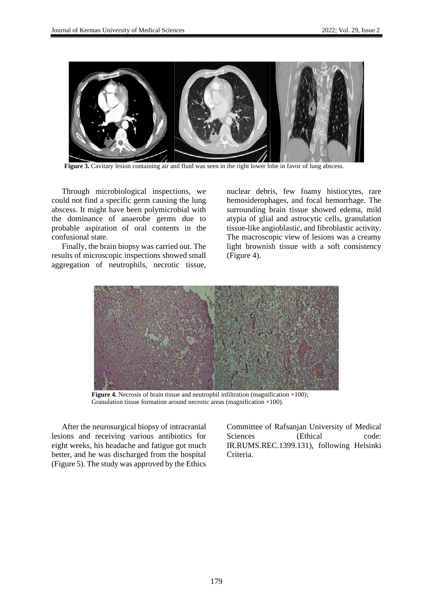

**Figure 3.** Cavitary lesion containing air and fluid was seen in the right lower lobe in favor of lung abscess.

Through microbiological inspections, we could not find a specific germ causing the lung abscess. It might have been polymicrobial with the dominance of anaerobe germs due to probable aspiration of oral contents in the confusional state.

Finally, the brain biopsy was carried out. The results of microscopic inspections showed small aggregation of neutrophils, necrotic tissue, nuclear debris, few foamy histiocytes, rare hemosiderophages, and focal hemorrhage. The surrounding brain tissue showed edema, mild atypia of glial and astrocytic cells, granulation tissue-like angioblastic, and fibroblastic activity. The macroscopic view of lesions was a creamy light brownish tissue with a soft consistency (Figure 4).



**Figure 4.** Necrosis of brain tissue and neutrophil infiltration (magnification ×100); Granulation tissue formation around necrotic areas (magnification ×100).

After the neurosurgical biopsy of intracranial lesions and receiving various antibiotics for eight weeks, his headache and fatigue got much better, and he was discharged from the hospital (Figure 5). The study was approved by the Ethics Committee of Rafsanjan University of Medical Sciences (Ethical code: IR.RUMS.REC.1399.131), following Helsinki Criteria.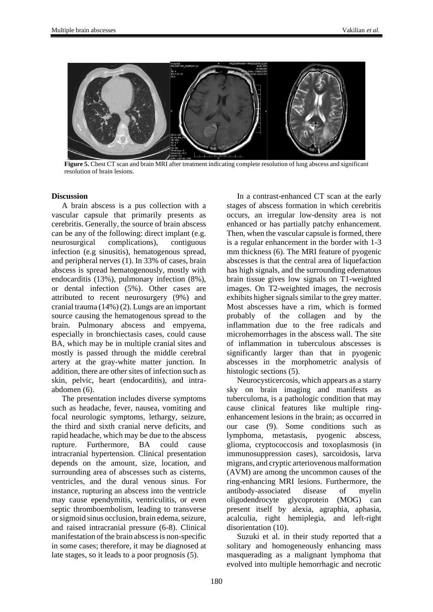

**Figure 5.** Chest CT scan and brain MRI after treatment indicating complete resolution of lung abscess and significant resolution of brain lesions.

## **Discussion**

A brain abscess is a pus collection with a vascular capsule that primarily presents as cerebritis. Generally, the source of brain abscess can be any of the following: direct implant (e.g. neurosurgical complications), contiguous infection (e.g sinusitis), hematogenous spread, and peripheral nerves (1). In 33% of cases, brain abscess is spread hematogenously, mostly with endocarditis (13%), pulmonary infection (8%), or dental infection (5%). Other cases are attributed to recent neurosurgery (9%) and cranial trauma (14%) (2). Lungs are an important source causing the hematogenous spread to the brain. Pulmonary abscess and empyema, especially in bronchiectasis cases, could cause BA, which may be in multiple cranial sites and mostly is passed through the middle cerebral artery at the gray-white matter junction. In addition, there are other sites of infection such as skin, pelvic, heart (endocarditis), and intraabdomen (6).

The presentation includes diverse symptoms such as headache, fever, nausea, vomiting and focal neurologic symptoms, lethargy, seizure, the third and sixth cranial nerve deficits, and rapid headache, which may be due to the abscess rupture. Furthermore, BA could cause intracranial hypertension. Clinical presentation depends on the amount, size, location, and surrounding area of abscesses such as cisterns, ventricles, and the dural venous sinus. For instance, rupturing an abscess into the ventricle may cause ependymitis, ventriculitis, or even septic thromboembolism, leading to transverse or sigmoid sinus occlusion, brain edema, seizure, and raised intracranial pressure (6-8). Clinical manifestation of the brain abscess is non-specific in some cases; therefore, it may be diagnosed at late stages, so it leads to a poor prognosis (5).

In a contrast-enhanced CT scan at the early stages of abscess formation in which cerebritis occurs, an irregular low-density area is not enhanced or has partially patchy enhancement. Then, when the vascular capsule is formed, there is a regular enhancement in the border with 1-3 mm thickness (6). The MRI feature of pyogenic abscesses is that the central area of liquefaction has high signals, and the surrounding edematous brain tissue gives low signals on T1-weighted images. On T2-weighted images, the necrosis exhibits higher signals similar to the grey matter. Most abscesses have a rim, which is formed probably of the collagen and by the inflammation due to the free radicals and microhemorrhages in the abscess wall. The site of inflammation in tuberculous abscesses is significantly larger than that in pyogenic abscesses in the morphometric analysis of histologic sections (5).

Neurocysticercosis, which appears as a starry sky on brain imaging and manifests as tuberculoma, is a pathologic condition that may cause clinical features like multiple ringenhancement lesions in the brain; as occurred in our case (9). Some conditions such as lymphoma, metastasis, pyogenic abscess, glioma, cryptococcosis and toxoplasmosis (in immunosuppression cases), sarcoidosis, larva migrans, and cryptic arteriovenous malformation (AVM) are among the uncommon causes of the ring-enhancing MRI lesions. Furthermore, the antibody-associated disease of myelin oligodendrocyte glycoprotein (MOG) can present itself by alexia, agraphia, aphasia, acalculia, right hemiplegia, and left-right disorientation (10).

Suzuki et al. in their study reported that a solitary and homogeneously enhancing mass masquerading as a malignant lymphoma that evolved into multiple hemorrhagic and necrotic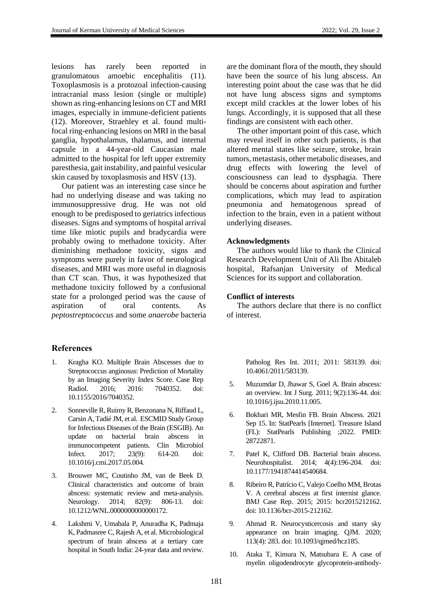lesions has rarely been reported in granulomatous amoebic encephalitis (11). Toxoplasmosis is a protozoal infection-causing intracranial mass lesion (single or multiple) shown as ring-enhancing lesions on CT and MRI images, especially in immune-deficient patients (12). Moreover, Straehley et al. found multifocal ring-enhancing lesions on MRI in the basal ganglia, hypothalamus, thalamus, and internal capsule in a 44-year-old Caucasian male admitted to the hospital for left upper extremity paresthesia, gait instability, and painful vesicular skin caused by toxoplasmosis and HSV (13).

Our patient was an interesting case since he had no underlying disease and was taking no immunosuppressive drug. He was not old enough to be predisposed to geriatrics infectious diseases. Signs and symptoms of hospital arrival time like miotic pupils and bradycardia were probably owing to methadone toxicity. After diminishing methadone toxicity, signs and symptoms were purely in favor of neurological diseases, and MRI was more useful in diagnosis than CT scan. Thus, it was hypothesized that methadone toxicity followed by a confusional state for a prolonged period was the cause of aspiration of oral contents. As *peptostreptococcus* and some *anaerobe* bacteria

## **References**

- 1. Kragha KO. Multiple Brain Abscesses due to Streptococcus anginosus: Prediction of Mortality by an Imaging Severity Index Score. Case Rep Radiol. 2016; 2016: 7040352. doi: 10.1155/2016/7040352.
- 2. Sonneville R, Ruimy R, Benzonana N, Riffaud L, Carsin A, Tadié JM, et al. ESCMID Study Group for Infectious Diseases of the Brain (ESGIB). An update on bacterial brain abscess in immunocompetent patients. Clin Microbiol Infect. 2017; 23(9): 614-20. doi: 10.1016/j.cmi.2017.05.004.
- 3. Brouwer MC, Coutinho JM, van de Beek D. Clinical characteristics and outcome of brain abscess: systematic review and meta-analysis. Neurology. 2014; 82(9): 806-13. doi: 10.1212/WNL.0000000000000172.
- 4. Lakshmi V, Umabala P, Anuradha K, Padmaja K, Padmasree C, Rajesh A, et al. Microbiological spectrum of brain abscess at a tertiary care hospital in South India: 24-year data and review.

are the dominant flora of the mouth, they should have been the source of his lung abscess. An interesting point about the case was that he did not have lung abscess signs and symptoms except mild crackles at the lower lobes of his lungs. Accordingly, it is supposed that all these findings are consistent with each other.

The other important point of this case, which may reveal itself in other such patients, is that altered mental states like seizure, stroke, brain tumors, metastasis, other metabolic diseases, and drug effects with lowering the level of consciousness can lead to dysphagia. There should be concerns about aspiration and further complications, which may lead to aspiration pneumonia and hematogenous spread of infection to the brain, even in a patient without underlying diseases.

## **Acknowledgments**

The authors would like to thank the Clinical Research Development Unit of Ali Ibn Abitaleb hospital, Rafsanjan University of Medical Sciences for its support and collaboration.

## **Conflict of interests**

The authors declare that there is no conflict of interest.

> Patholog Res Int. 2011; 2011: 583139. doi: 10.4061/2011/583139.

- 5. Muzumdar D, Jhawar S, Goel A. Brain abscess: an overview. Int J Surg. 2011; 9(2):136-44. doi: 10.1016/j.ijsu.2010.11.005.
- 6. Bokhari MR, Mesfin FB. Brain Abscess. 2021 Sep 15. In: StatPearls [Internet]. Treasure Island (FL): StatPearls Publishing ;2022. PMID: 28722871.
- 7. Patel K, Clifford DB. Bacterial brain abscess. Neurohospitalist. 2014; 4(4):196-204. doi: 10.1177/1941874414540684.
- 8. Ribeiro R, Patrício C, Valejo Coelho MM, Brotas V. A cerebral abscess at first internist glance. BMJ Case Rep. 2015; 2015: bcr2015212162. doi: 10.1136/bcr-2015-212162.
- 9. Ahmad R. Neurocysticercosis and starry sky appearance on brain imaging. QJM. 2020; 113(4): 283. doi: 10.1093/qjmed/hcz185.
- 10. Ataka T, Kimura N, Matsubara E. A case of myelin oligodendrocyte glycoprotein-antibody-